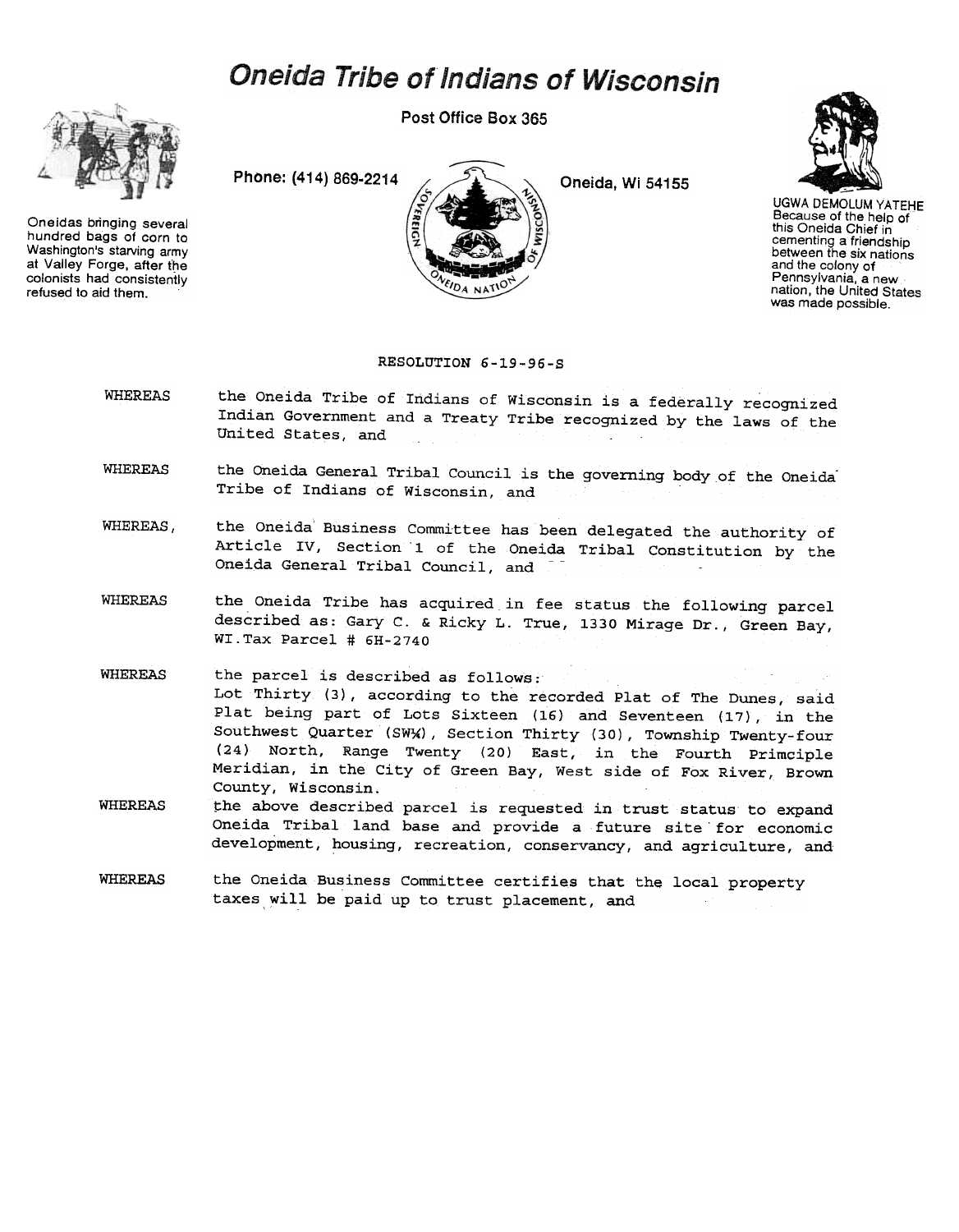## **Oneida Tribe of Indians of Wisconsin**



Oneidas bringing several hundred bags of corn to Washington's starving army at Valley Forge, after the colonists had consistently refused to aid them.

Post Office Box 365

**DA NAT** 

Phone: (414) 869-2214  $\sim$  2214 Oneida, Wi 54155



UGWA DEMOLUM YATEHE Because of the help of this Oneida Chief in cementing a friendship<br>between the six nation and the colony of Pennsylvania, a new nation, the United States was made possible.

## RESOLUTION 6-19-96-S

- WHEREAS the Oneida Tribe of Indians of Wisconsin is a federally recognized Indian Government and a Treaty Tribe recognized by the laws of the United States, and
- WHEREAS the Oneida General Tribal Council is the governing body of the Oneida Tribe of Indians of Wisconsin, and
- WHEREAS, the Oneida Business Committee has been delegated the authority of Article IV, Section '1 of the Oneida Tribal Constitution by the Oneida General Tribal Council, and
- WHEREAS the Oneida Tribe has acquired in fee status the following parcel described as: Gary C. & Ricky L. True, 1330 Mirage Dr., Green Bay, WI.Tax Parcel # 6H-2740
- **WHEREAS** the parcel is described as follows; Lot Thirty (3), according to the recorded Plat of The Dunes, said Plat being part of Lots Sixteen (16) and Seventeen (17), in the Southwest Quarter (SWX), Section Thirty (30), Township Twenty-four (24) North, Range Twenty (20) East, in the Fourth Primciple Meridian, in the City of Green Bay, West side of Fox River, Brown County, Wisconsin.
- **WHEREAS** the above described parcel is requested in trust status to expand Oneida Tribal land base and provide a future site for economic development, housing, recreation, conservancy, and agriculture, and
- WHEREAS the Oneida Business Committee certifies that the local property taxes will be paid up to trust placement, and